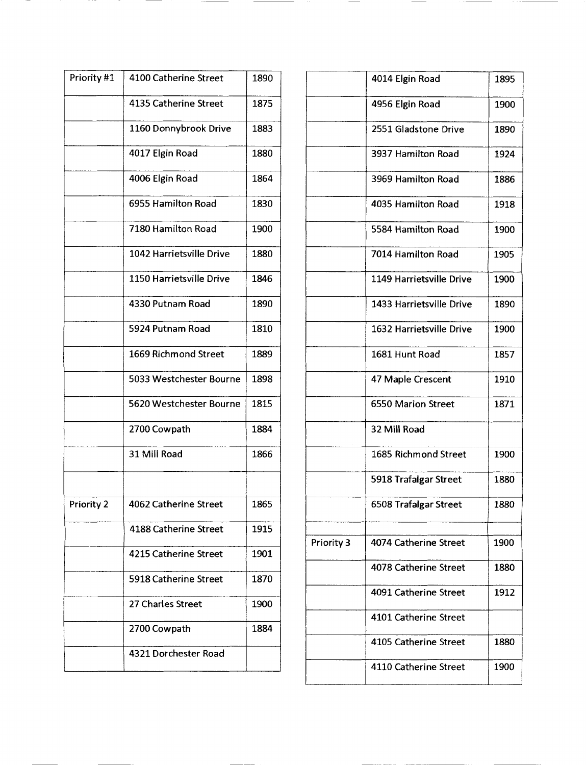| Priority #1 | 4100 Catherine Street    | 1890 |        |
|-------------|--------------------------|------|--------|
|             | 4135 Catherine Street    | 1875 |        |
|             | 1160 Donnybrook Drive    | 1883 |        |
|             | 4017 Elgin Road          | 1880 |        |
|             | 4006 Elgin Road          | 1864 |        |
|             | 6955 Hamilton Road       | 1830 |        |
|             | 7180 Hamilton Road       | 1900 |        |
|             | 1042 Harrietsville Drive | 1880 |        |
|             | 1150 Harrietsville Drive | 1846 |        |
|             | 4330 Putnam Road         | 1890 |        |
|             | 5924 Putnam Road         | 1810 |        |
|             | 1669 Richmond Street     | 1889 |        |
|             | 5033 Westchester Bourne  | 1898 |        |
|             | 5620 Westchester Bourne  | 1815 |        |
|             | 2700 Cowpath             | 1884 |        |
|             | 31 Mill Road             | 1866 |        |
|             |                          |      |        |
| Priority 2  | 4062 Catherine Street    | 1865 |        |
|             | 4188 Catherine Street    | 1915 | Priori |
|             | 4215 Catherine Street    | 1901 |        |
|             | 5918 Catherine Street    | 1870 |        |
|             | 27 Charles Street        | 1900 |        |
|             | 2700 Cowpath             | 1884 |        |
|             | 4321 Dorchester Road     |      |        |
|             |                          |      |        |

**Contract Contract Contract Contract Contract** 

|            | 4014 Elgin Road          | 1895 |
|------------|--------------------------|------|
|            | 4956 Elgin Road          | 1900 |
|            | 2551 Gladstone Drive     | 1890 |
|            | 3937 Hamilton Road       | 1924 |
|            | 3969 Hamilton Road       | 1886 |
|            | 4035 Hamilton Road       | 1918 |
|            | 5584 Hamilton Road       | 1900 |
|            | 7014 Hamilton Road       | 1905 |
|            | 1149 Harrietsville Drive | 1900 |
|            | 1433 Harrietsville Drive | 1890 |
|            | 1632 Harrietsville Drive | 1900 |
|            | 1681 Hunt Road           | 1857 |
|            | 47 Maple Crescent        | 1910 |
|            | 6550 Marion Street       | 1871 |
|            | 32 Mill Road             |      |
|            | 1685 Richmond Street     | 1900 |
|            | 5918 Trafalgar Street    | 1880 |
|            | 6508 Trafalgar Street    | 1880 |
|            |                          |      |
| Priority 3 | 4074 Catherine Street    | 1900 |
|            | 4078 Catherine Street    | 1880 |
|            | 4091 Catherine Street    | 1912 |
|            | 4101 Catherine Street    |      |
|            | 4105 Catherine Street    | 1880 |
|            | 4110 Catherine Street    | 1900 |

 $\overline{\phantom{a}}$ 

 $\overline{\phantom{a}}$